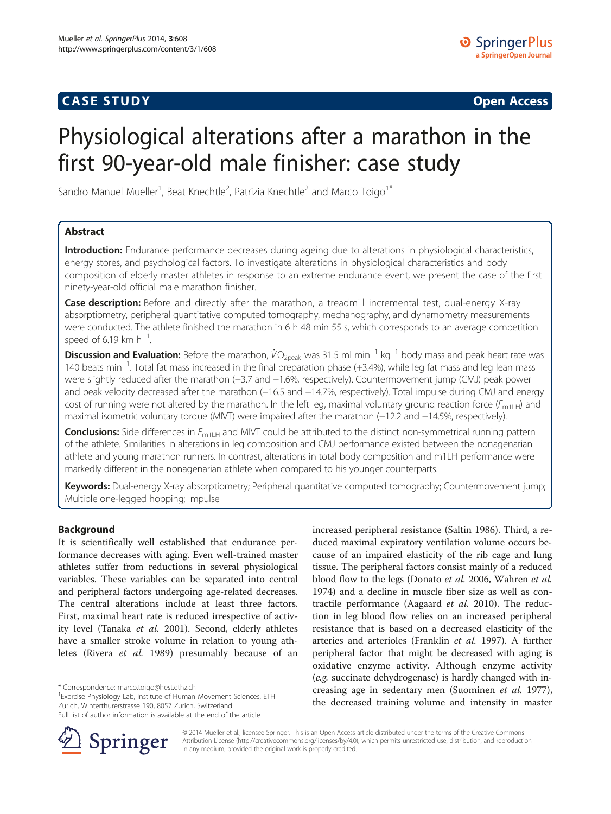# **CASE STUDY CASE STUDY Open Access**

# Physiological alterations after a marathon in the first 90-year-old male finisher: case study

Sandro Manuel Mueller<sup>1</sup>, Beat Knechtle<sup>2</sup>, Patrizia Knechtle<sup>2</sup> and Marco Toigo<sup>1\*</sup>

# Abstract

Introduction: Endurance performance decreases during ageing due to alterations in physiological characteristics, energy stores, and psychological factors. To investigate alterations in physiological characteristics and body composition of elderly master athletes in response to an extreme endurance event, we present the case of the first ninety-year-old official male marathon finisher.

Case description: Before and directly after the marathon, a treadmill incremental test, dual-energy X-ray absorptiometry, peripheral quantitative computed tomography, mechanography, and dynamometry measurements were conducted. The athlete finished the marathon in 6 h 48 min 55 s, which corresponds to an average competition speed of 6.19 km  $h^{-1}$ . .

Discussion and Evaluation: Before the marathon,  $\dot{V}O_{2\text{peak}}$  was 31.5 ml min<sup>−1</sup> kg<sup>−1</sup> body mass and peak heart rate was 140 beats min−<sup>1</sup> . Total fat mass increased in the final preparation phase (+3.4%), while leg fat mass and leg lean mass were slightly reduced after the marathon (−3.7 and −1.6%, respectively). Countermovement jump (CMJ) peak power and peak velocity decreased after the marathon (-16.5 and -14.7%, respectively). Total impulse during CMJ and energy cost of running were not altered by the marathon. In the left leg, maximal voluntary ground reaction force  $(F_{m1LH})$  and maximal isometric voluntary torque (MIVT) were impaired after the marathon (−12.2 and −14.5%, respectively).

Conclusions: Side differences in F<sub>m1LH</sub> and MIVT could be attributed to the distinct non-symmetrical running pattern of the athlete. Similarities in alterations in leg composition and CMJ performance existed between the nonagenarian athlete and young marathon runners. In contrast, alterations in total body composition and m1LH performance were markedly different in the nonagenarian athlete when compared to his younger counterparts.

Keywords: Dual-energy X-ray absorptiometry; Peripheral quantitative computed tomography; Countermovement jump; Multiple one-legged hopping; Impulse

# Background

It is scientifically well established that endurance performance decreases with aging. Even well-trained master athletes suffer from reductions in several physiological variables. These variables can be separated into central and peripheral factors undergoing age-related decreases. The central alterations include at least three factors. First, maximal heart rate is reduced irrespective of activ-ity level (Tanaka et al. [2001\)](#page-8-0). Second, elderly athletes have a smaller stroke volume in relation to young athletes (Rivera et al. [1989\)](#page-8-0) presumably because of an

\* Correspondence: [marco.toigo@hest.ethz.ch](mailto:marco.toigo@hest.ethz.ch) <sup>1</sup>

<sup>1</sup> Exercise Physiology Lab, Institute of Human Movement Sciences, ETH Zurich, Winterthurerstrasse 190, 8057 Zurich, Switzerland

Full list of author information is available at the end of the article



increased peripheral resistance (Saltin [1986\)](#page-8-0). Third, a reduced maximal expiratory ventilation volume occurs because of an impaired elasticity of the rib cage and lung tissue. The peripheral factors consist mainly of a reduced blood flow to the legs (Donato et al. [2006,](#page-7-0) Wahren et al. [1974](#page-8-0)) and a decline in muscle fiber size as well as con-tractile performance (Aagaard et al. [2010\)](#page-7-0). The reduction in leg blood flow relies on an increased peripheral resistance that is based on a decreased elasticity of the arteries and arterioles (Franklin et al. [1997\)](#page-7-0). A further peripheral factor that might be decreased with aging is oxidative enzyme activity. Although enzyme activity (e.g. succinate dehydrogenase) is hardly changed with increasing age in sedentary men (Suominen et al. [1977](#page-8-0)), the decreased training volume and intensity in master

© 2014 Mueller et al.; licensee Springer. This is an Open Access article distributed under the terms of the Creative Commons Attribution License [\(http://creativecommons.org/licenses/by/4.0\)](http://creativecommons.org/licenses/by/4.0), which permits unrestricted use, distribution, and reproduction in any medium, provided the original work is properly credited.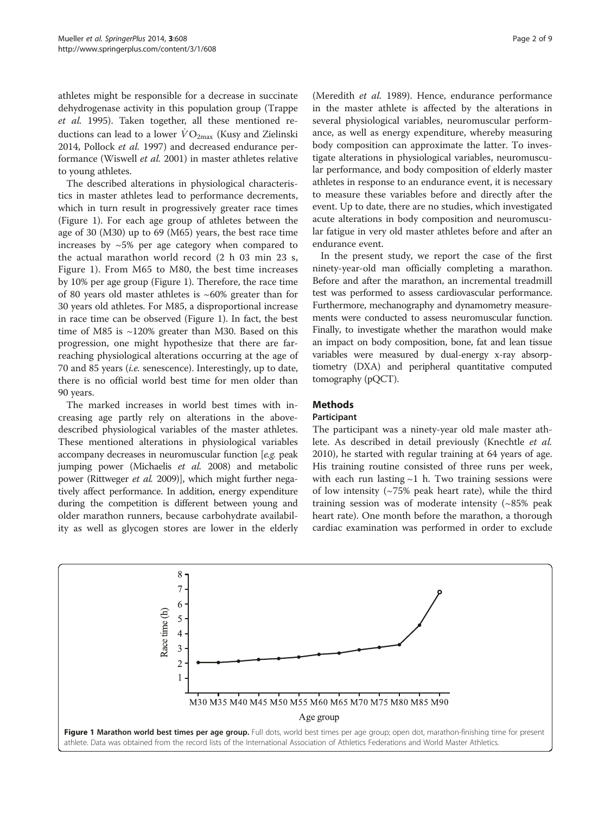<span id="page-1-0"></span>athletes might be responsible for a decrease in succinate dehydrogenase activity in this population group (Trappe et al. [1995](#page-8-0)). Taken together, all these mentioned reductions can lead to a lower  $\dot{V}O_{2\text{max}}$  (Kusy and Zielinski [2014](#page-7-0), Pollock et al. [1997](#page-7-0)) and decreased endurance performance (Wiswell et al. [2001](#page-8-0)) in master athletes relative to young athletes.

The described alterations in physiological characteristics in master athletes lead to performance decrements, which in turn result in progressively greater race times (Figure 1). For each age group of athletes between the age of 30 (M30) up to 69 (M65) years, the best race time increases by  $\sim$  5% per age category when compared to the actual marathon world record (2 h 03 min 23 s, Figure 1). From M65 to M80, the best time increases by 10% per age group (Figure 1). Therefore, the race time of 80 years old master athletes is  $~60\%$  greater than for 30 years old athletes. For M85, a disproportional increase in race time can be observed (Figure 1). In fact, the best time of M85 is ~120% greater than M30. Based on this progression, one might hypothesize that there are farreaching physiological alterations occurring at the age of 70 and 85 years (i.e. senescence). Interestingly, up to date, there is no official world best time for men older than 90 years.

The marked increases in world best times with increasing age partly rely on alterations in the abovedescribed physiological variables of the master athletes. These mentioned alterations in physiological variables accompany decreases in neuromuscular function [e.g. peak jumping power (Michaelis et al. [2008\)](#page-7-0) and metabolic power (Rittweger et al. [2009\)](#page-8-0)], which might further negatively affect performance. In addition, energy expenditure during the competition is different between young and older marathon runners, because carbohydrate availability as well as glycogen stores are lower in the elderly

(Meredith et al. [1989\)](#page-7-0). Hence, endurance performance in the master athlete is affected by the alterations in several physiological variables, neuromuscular performance, as well as energy expenditure, whereby measuring body composition can approximate the latter. To investigate alterations in physiological variables, neuromuscular performance, and body composition of elderly master athletes in response to an endurance event, it is necessary to measure these variables before and directly after the event. Up to date, there are no studies, which investigated acute alterations in body composition and neuromuscular fatigue in very old master athletes before and after an endurance event.

In the present study, we report the case of the first ninety-year-old man officially completing a marathon. Before and after the marathon, an incremental treadmill test was performed to assess cardiovascular performance. Furthermore, mechanography and dynamometry measurements were conducted to assess neuromuscular function. Finally, to investigate whether the marathon would make an impact on body composition, bone, fat and lean tissue variables were measured by dual-energy x-ray absorptiometry (DXA) and peripheral quantitative computed tomography (pQCT).

# Methods

#### Participant

The participant was a ninety-year old male master athlete. As described in detail previously (Knechtle et al. [2010](#page-7-0)), he started with regular training at 64 years of age. His training routine consisted of three runs per week, with each run lasting  $\sim$ 1 h. Two training sessions were of low intensity  $(\sim 75\%$  peak heart rate), while the third training session was of moderate intensity (~85% peak heart rate). One month before the marathon, a thorough cardiac examination was performed in order to exclude

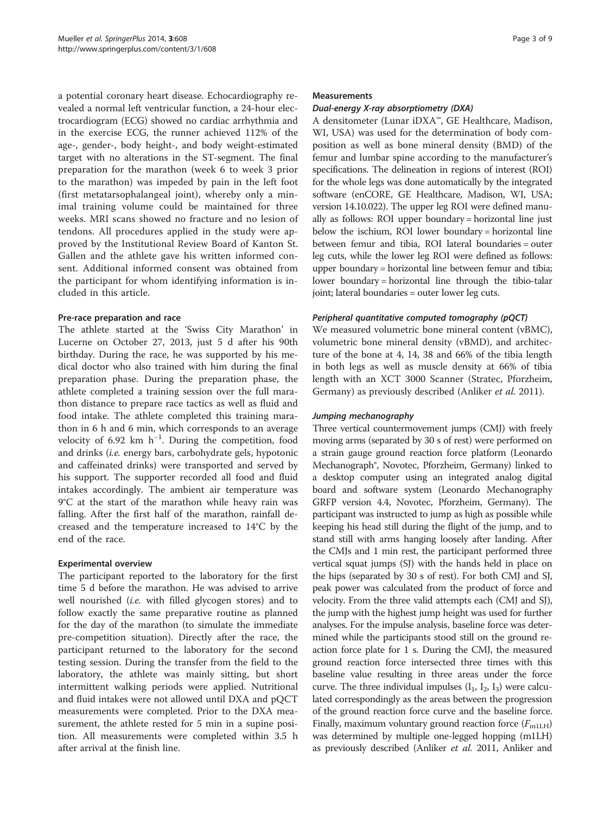a potential coronary heart disease. Echocardiography revealed a normal left ventricular function, a 24-hour electrocardiogram (ECG) showed no cardiac arrhythmia and in the exercise ECG, the runner achieved 112% of the age-, gender-, body height-, and body weight-estimated target with no alterations in the ST-segment. The final preparation for the marathon (week 6 to week 3 prior to the marathon) was impeded by pain in the left foot (first metatarsophalangeal joint), whereby only a minimal training volume could be maintained for three weeks. MRI scans showed no fracture and no lesion of tendons. All procedures applied in the study were approved by the Institutional Review Board of Kanton St. Gallen and the athlete gave his written informed consent. Additional informed consent was obtained from the participant for whom identifying information is included in this article.

# Pre-race preparation and race

The athlete started at the 'Swiss City Marathon' in Lucerne on October 27, 2013, just 5 d after his 90th birthday. During the race, he was supported by his medical doctor who also trained with him during the final preparation phase. During the preparation phase, the athlete completed a training session over the full marathon distance to prepare race tactics as well as fluid and food intake. The athlete completed this training marathon in 6 h and 6 min, which corresponds to an average velocity of 6.92 km h<sup>-1</sup>. During the competition, food and drinks (i.e. energy bars, carbohydrate gels, hypotonic and caffeinated drinks) were transported and served by his support. The supporter recorded all food and fluid intakes accordingly. The ambient air temperature was 9°C at the start of the marathon while heavy rain was falling. After the first half of the marathon, rainfall decreased and the temperature increased to 14°C by the end of the race.

#### Experimental overview

The participant reported to the laboratory for the first time 5 d before the marathon. He was advised to arrive well nourished *(i.e.* with filled glycogen stores) and to follow exactly the same preparative routine as planned for the day of the marathon (to simulate the immediate pre-competition situation). Directly after the race, the participant returned to the laboratory for the second testing session. During the transfer from the field to the laboratory, the athlete was mainly sitting, but short intermittent walking periods were applied. Nutritional and fluid intakes were not allowed until DXA and pQCT measurements were completed. Prior to the DXA measurement, the athlete rested for 5 min in a supine position. All measurements were completed within 3.5 h after arrival at the finish line.

#### **Measurements**

#### Dual-energy X-ray absorptiometry (DXA)

A densitometer (Lunar iDXA™, GE Healthcare, Madison, WI, USA) was used for the determination of body composition as well as bone mineral density (BMD) of the femur and lumbar spine according to the manufacturer's specifications. The delineation in regions of interest (ROI) for the whole legs was done automatically by the integrated software (enCORE, GE Healthcare, Madison, WI, USA; version 14.10.022). The upper leg ROI were defined manually as follows: ROI upper boundary = horizontal line just below the ischium, ROI lower boundary = horizontal line between femur and tibia, ROI lateral boundaries = outer leg cuts, while the lower leg ROI were defined as follows: upper boundary = horizontal line between femur and tibia; lower boundary = horizontal line through the tibio-talar joint; lateral boundaries = outer lower leg cuts.

# Peripheral quantitative computed tomography (pQCT)

We measured volumetric bone mineral content (vBMC), volumetric bone mineral density (vBMD), and architecture of the bone at 4, 14, 38 and 66% of the tibia length in both legs as well as muscle density at 66% of tibia length with an XCT 3000 Scanner (Stratec, Pforzheim, Germany) as previously described (Anliker et al. [2011\)](#page-7-0).

#### Jumping mechanography

Three vertical countermovement jumps (CMJ) with freely moving arms (separated by 30 s of rest) were performed on a strain gauge ground reaction force platform (Leonardo Mechanograph®, Novotec, Pforzheim, Germany) linked to a desktop computer using an integrated analog digital board and software system (Leonardo Mechanography GRFP version 4.4, Novotec, Pforzheim, Germany). The participant was instructed to jump as high as possible while keeping his head still during the flight of the jump, and to stand still with arms hanging loosely after landing. After the CMJs and 1 min rest, the participant performed three vertical squat jumps (SJ) with the hands held in place on the hips (separated by 30 s of rest). For both CMJ and SJ, peak power was calculated from the product of force and velocity. From the three valid attempts each (CMJ and SJ), the jump with the highest jump height was used for further analyses. For the impulse analysis, baseline force was determined while the participants stood still on the ground reaction force plate for 1 s. During the CMJ, the measured ground reaction force intersected three times with this baseline value resulting in three areas under the force curve. The three individual impulses  $(I_1, I_2, I_3)$  were calculated correspondingly as the areas between the progression of the ground reaction force curve and the baseline force. Finally, maximum voluntary ground reaction force  $(F_{\text{m1LH}})$ was determined by multiple one-legged hopping (m1LH) as previously described (Anliker et al. [2011,](#page-7-0) Anliker and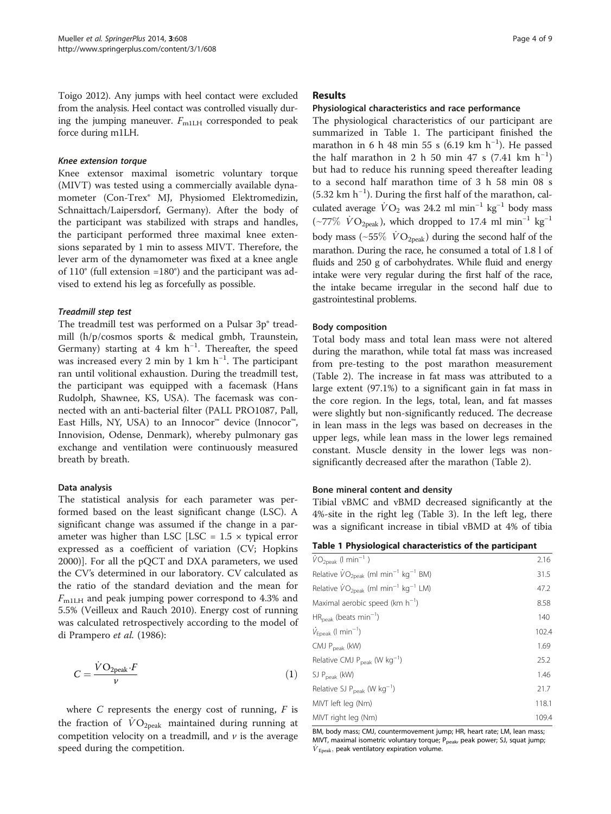Toigo [2012\)](#page-7-0). Any jumps with heel contact were excluded from the analysis. Heel contact was controlled visually during the jumping maneuver.  $F_{\text{m1LH}}$  corresponded to peak force during m1LH.

#### Knee extension torque

Knee extensor maximal isometric voluntary torque (MIVT) was tested using a commercially available dynamometer (Con-Trex® MJ, Physiomed Elektromedizin, Schnaittach/Laipersdorf, Germany). After the body of the participant was stabilized with straps and handles, the participant performed three maximal knee extensions separated by 1 min to assess MIVT. Therefore, the lever arm of the dynamometer was fixed at a knee angle of 110° (full extension =180°) and the participant was advised to extend his leg as forcefully as possible.

#### Treadmill step test

The treadmill test was performed on a Pulsar 3p<sup>®</sup> treadmill (h/p/cosmos sports & medical gmbh, Traunstein, Germany) starting at 4 km  $h^{-1}$ . Thereafter, the speed was increased every 2 min by 1 km h<sup>-1</sup>. The participant ran until volitional exhaustion. During the treadmill test, the participant was equipped with a facemask (Hans Rudolph, Shawnee, KS, USA). The facemask was connected with an anti-bacterial filter (PALL PRO1087, Pall, East Hills, NY, USA) to an Innocor<sup>™</sup> device (Innocor<sup>™</sup>, Innovision, Odense, Denmark), whereby pulmonary gas exchange and ventilation were continuously measured breath by breath.

#### Data analysis

The statistical analysis for each parameter was performed based on the least significant change (LSC). A significant change was assumed if the change in a parameter was higher than LSC  $[LSC = 1.5 \times typical error]$ expressed as a coefficient of variation (CV; Hopkins [2000](#page-7-0))]. For all the pQCT and DXA parameters, we used the CV's determined in our laboratory. CV calculated as the ratio of the standard deviation and the mean for  $F<sub>m1LH</sub>$  and peak jumping power correspond to 4.3% and 5.5% (Veilleux and Rauch [2010](#page-8-0)). Energy cost of running was calculated retrospectively according to the model of di Prampero et al. [\(1986\)](#page-7-0):

$$
C = \frac{\dot{V}O_{2\text{peak}} \cdot F}{\nu} \tag{1}
$$

where  $C$  represents the energy cost of running,  $F$  is the fraction of  $\dot{V}O_{2\text{peak}}$  maintained during running at competition velocity on a treadmill, and  $\nu$  is the average speed during the competition.

#### Results

# Physiological characteristics and race performance

The physiological characteristics of our participant are summarized in Table 1. The participant finished the marathon in 6 h 48 min 55 s (6.19 km h<sup>-1</sup>). He passed the half marathon in 2 h 50 min 47 s (7.41 km  $h^{-1}$ ) but had to reduce his running speed thereafter leading to a second half marathon time of 3 h 58 min 08 s (5.32 km h−<sup>1</sup> ). During the first half of the marathon, calculated average  $\dot{V}O_2$  was 24.2 ml min<sup>-1</sup> kg<sup>-1</sup> body mass but had to reduce his running speed thereafter leading<br>to a second half marathon time of 3 h 58 min 08 s<br>(5.32 km h<sup>−1</sup>). During the first half of the marathon, cal-<br>culated average  $\dot{V}O_2$  was 24.2 ml min<sup>−1</sup> kg<sup>−1</sup> b to a second half marathon time of 3 h 58 min 08 s<br>
(5.32 km h<sup>-1</sup>). During the first half of the marathon, cal-<br>
culated average  $\dot{V}O_2$  was 24.2 ml min<sup>-1</sup> kg<sup>-1</sup> body mass<br>
(~77%  $\dot{V}O_{2\text{peak}}$ ), which dropped to 17 marathon. During the race, he consumed a total of 1.8 l of fluids and 250 g of carbohydrates. While fluid and energy intake were very regular during the first half of the race, the intake became irregular in the second half due to gastrointestinal problems.

#### Body composition

Total body mass and total lean mass were not altered during the marathon, while total fat mass was increased from pre-testing to the post marathon measurement (Table [2](#page-4-0)). The increase in fat mass was attributed to a large extent (97.1%) to a significant gain in fat mass in the core region. In the legs, total, lean, and fat masses were slightly but non-significantly reduced. The decrease in lean mass in the legs was based on decreases in the upper legs, while lean mass in the lower legs remained constant. Muscle density in the lower legs was nonsignificantly decreased after the marathon (Table [2\)](#page-4-0).

#### Bone mineral content and density

Tibial vBMC and vBMD decreased significantly at the 4%-site in the right leg (Table [3](#page-4-0)). In the left leg, there was a significant increase in tibial vBMD at 4% of tibia

|  |  | Table 1 Physiological characteristics of the participant |  |  |
|--|--|----------------------------------------------------------|--|--|
|--|--|----------------------------------------------------------|--|--|

| $\overline{\dot{V}}O_{2\text{peak}}$ (I min <sup>-1</sup> )                   | 2.16  |
|-------------------------------------------------------------------------------|-------|
| Relative $\dot{V}O_{2\text{peak}}$ (ml min <sup>-1</sup> kg <sup>-1</sup> BM) | 31.5  |
| Relative $\dot{V}O_{2\text{peak}}$ (ml min <sup>-1</sup> kg <sup>-1</sup> LM) | 47.2  |
| Maximal aerobic speed ( $km h^{-1}$ )                                         | 8.58  |
| $HR_{peak}$ (beats min <sup>-1</sup> )                                        | 140   |
| $\dot{V}_{\text{Epeak}}$ (1 min <sup>-1</sup> )                               | 102.4 |
| CMJ P <sub>peak</sub> (kW)                                                    | 1.69  |
| Relative CMJ $P_{\text{peak}}$ (W $\text{kg}^{-1}$ )                          | 25.2  |
| SJ P <sub>peak</sub> (kW)                                                     | 1.46  |
| Relative SJ $P_{peak}$ (W $kg^{-1}$ )                                         | 21.7  |
| MIVT left leg (Nm)                                                            | 118.1 |
| MIVT right leg (Nm)                                                           | 109.4 |

BM, body mass; CMJ, countermovement jump; HR, heart rate; LM, lean mass; MIVT, maximal isometric voluntary torque; P<sub>peak</sub>, peak power; SJ, squat jump;  $\dot{V}_{\text{Epeak}}$ , peak ventilatory expiration volume.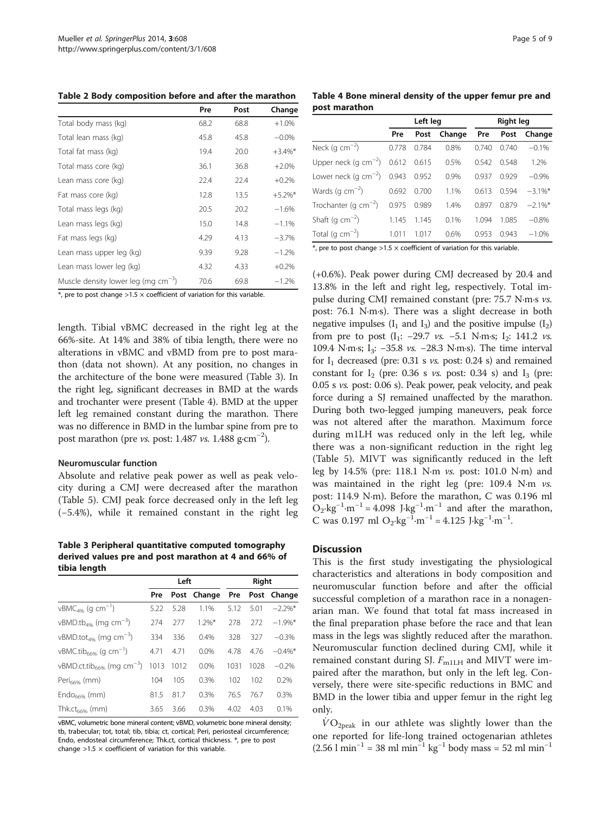<span id="page-4-0"></span>

|                                          | Pre  | Post | Change     |
|------------------------------------------|------|------|------------|
| Total body mass (kg)                     | 68.2 | 68.8 | $+1.0%$    |
| Total lean mass (kg)                     | 45.8 | 45.8 | $-0.0\%$   |
| Total fat mass (kg)                      | 19.4 | 20.0 | $+3.4\%$ * |
| Total mass core (kg)                     | 36.1 | 36.8 | $+2.0%$    |
| Lean mass core (kg)                      | 22.4 | 22.4 | $+0.2%$    |
| Fat mass core (kg)                       | 12.8 | 13.5 | $+5.2\%$ * |
| Total mass legs (kg)                     | 20.5 | 20.2 | $-1.6%$    |
| Lean mass legs (kg)                      | 15.0 | 14.8 | $-1.1%$    |
| Fat mass legs (kg)                       | 4.29 | 4.13 | $-3.7%$    |
| Lean mass upper leg (kg)                 | 9.39 | 9.28 | $-1.2%$    |
| Lean mass lower leg (kg)                 | 4.32 | 4.33 | $+0.2%$    |
| Muscle density lower leg (mg $cm^{-3}$ ) | 70.6 | 69.8 | $-1.2%$    |

 $*$ , pre to post change >1.5  $\times$  coefficient of variation for this variable.

length. Tibial vBMC decreased in the right leg at the 66%-site. At 14% and 38% of tibia length, there were no alterations in vBMC and vBMD from pre to post marathon (data not shown). At any position, no changes in the architecture of the bone were measured (Table 3). In the right leg, significant decreases in BMD at the wards and trochanter were present (Table 4). BMD at the upper left leg remained constant during the marathon. There was no difference in BMD in the lumbar spine from pre to post marathon (pre *vs.* post: 1.487 *vs.* 1.488  $\text{g} \cdot \text{cm}^{-2}$ ).

#### Neuromuscular function

Absolute and relative peak power as well as peak velocity during a CMJ were decreased after the marathon (Table [5\)](#page-5-0). CMJ peak force decreased only in the left leg (−5.4%), while it remained constant in the right leg

Table 3 Peripheral quantitative computed tomography derived values pre and post marathon at 4 and 66% of tibia length

|                                                   |      | Left |             | Right |      |             |  |
|---------------------------------------------------|------|------|-------------|-------|------|-------------|--|
|                                                   | Pre  |      | Post Change | Pre   |      | Post Change |  |
| $vBMC_{4\%}$ (q cm <sup>-1</sup> )                | 5.22 | 5.28 | 1.1%        | 5.12  | 5.01 | $-2.2\%$ *  |  |
| vBMD.tb <sub>4%</sub> (mg cm <sup>-3</sup> )      | 274  | 277  | $1.2\%$ *   | 278   | 272  | $-1.9\%$ *  |  |
| vBMD.tot <sub>4%</sub> (mg cm <sup>-3</sup> )     | 334  | 336  | 0.4%        | 328   | 327  | $-0.3%$     |  |
| vBMC.tib <sub>66%</sub> (g cm <sup>-1</sup> )     | 4.71 | 4.71 | 0.0%        | 4.78  | 4.76 | $-0.4\%$ *  |  |
| vBMD.ct.tib <sub>66%</sub> (mg cm <sup>-3</sup> ) | 1013 | 1012 | 0.0%        | 1031  | 1028 | $-0.2%$     |  |
| Peri <sub>66%</sub> (mm)                          | 104  | 105  | 0.3%        | 102   | 102  | 0.2%        |  |
| $Endo6696$ (mm)                                   | 81.5 | 81.7 | 0.3%        | 76.5  | 76.7 | 0.3%        |  |
| Thk.ct $_{66\%}$ (mm)                             | 3.65 | 3.66 | 0.3%        | 4.02  | 4.03 | 0.1%        |  |

vBMC, volumetric bone mineral content; vBMD, volumetric bone mineral density; tb, trabecular; tot, total; tib, tibia; ct, cortical; Peri, periosteal circumference; Endo, endosteal circumference; Thk.ct, cortical thickness. \*, pre to post change  $>1.5 \times$  coefficient of variation for this variable.

Table 4 Bone mineral density of the upper femur pre and post marathon

|                                                |       | Left leg |        | <b>Right leg</b> |       |            |  |  |
|------------------------------------------------|-------|----------|--------|------------------|-------|------------|--|--|
|                                                | Pre   | Post     | Change | Pre              | Post  | Change     |  |  |
| Neck (g cm $^{-2}$ )                           | 0.778 | 0.784    | 0.8%   | 0.740            | 0.740 | $-0.1%$    |  |  |
| Upper neck (g cm <sup>-2</sup> ) $0.612$ 0.615 |       |          | 0.5%   | 0.542            | 0.548 | 1.2%       |  |  |
| Lower neck (g $cm^{-2}$ ) 0.943                |       | 0.952    | 0.9%   | 0.937            | 0.929 | $-0.9%$    |  |  |
| Wards (g $cm^{-2}$ )                           | 0.692 | 0.700    | 1.1%   | 0.613            | 0.594 | $-3.1\%$ * |  |  |
| Trochanter (g cm <sup>-2</sup> )               | 0.975 | 0.989    | 1.4%   | 0.897            | 0.879 | $-2.1\%$ * |  |  |
| Shaft (g $cm^{-2}$ )                           | 1.145 | 1.145    | 0.1%   | 1.094            | 1.085 | $-0.8%$    |  |  |
| Total (g $\text{cm}^{-2}$ )                    | 1.011 | 1.017    | 0.6%   | 0.953            | 0.943 | $-1.0%$    |  |  |

 $*$ , pre to post change >1.5  $\times$  coefficient of variation for this variable.

(+0.6%). Peak power during CMJ decreased by 20.4 and 13.8% in the left and right leg, respectively. Total impulse during CMJ remained constant (pre: 75.7 N∙m∙<sup>s</sup> vs. post: 76.1 N∙m∙s). There was a slight decrease in both negative impulses  $(I_1 \text{ and } I_3)$  and the positive impulse  $(I_2)$ from pre to post  $(I_1: -29.7 \text{ vs. } -5.1 \text{ N·m·s}; I_2: 141.2 \text{ vs. }$ 109.4 N⋅m⋅s; I<sub>3</sub>: −35.8 *vs.* −28.3 N⋅m⋅s). The time interval for  $I_1$  decreased (pre: 0.31 s *vs.* post: 0.24 s) and remained constant for  $I_2$  (pre: 0.36 s *vs.* post: 0.34 s) and  $I_3$  (pre: 0.05 s vs. post: 0.06 s). Peak power, peak velocity, and peak force during a SJ remained unaffected by the marathon. During both two-legged jumping maneuvers, peak force was not altered after the marathon. Maximum force during m1LH was reduced only in the left leg, while there was a non-significant reduction in the right leg (Table [5](#page-5-0)). MIVT was significantly reduced in the left leg by 14.5% (pre: 118.1 N∙<sup>m</sup> vs. post: 101.0 N∙m) and was maintained in the right leg (pre: 109.4 N∙<sup>m</sup> vs. post: 114.9 N∙m). Before the marathon, C was 0.196 ml  $O_2$ ·kg<sup>-1</sup>·m<sup>-1</sup> = 4.098 J⋅kg<sup>-1</sup>·m<sup>-1</sup> and after the marathon, C was 0.197 ml O<sub>2</sub>⋅kg<sup>-1</sup>⋅m<sup>-1</sup> = 4.125 J⋅kg<sup>-1</sup>⋅m<sup>-1</sup>.

# **Discussion**

This is the first study investigating the physiological characteristics and alterations in body composition and neuromuscular function before and after the official successful completion of a marathon race in a nonagenarian man. We found that total fat mass increased in the final preparation phase before the race and that lean mass in the legs was slightly reduced after the marathon. Neuromuscular function declined during CMJ, while it remained constant during SJ.  $F_{\text{m1LH}}$  and MIVT were impaired after the marathon, but only in the left leg. Conversely, there were site-specific reductions in BMC and BMD in the lower tibia and upper femur in the right leg only.

 $VO_{2peak}$  in our athlete was slightly lower than the one reported for life-long trained octogenarian athletes (2.56 l min<sup>-1</sup> = 38 ml min<sup>-1</sup> kg<sup>-1</sup> body mass = 52 ml min<sup>-1</sup>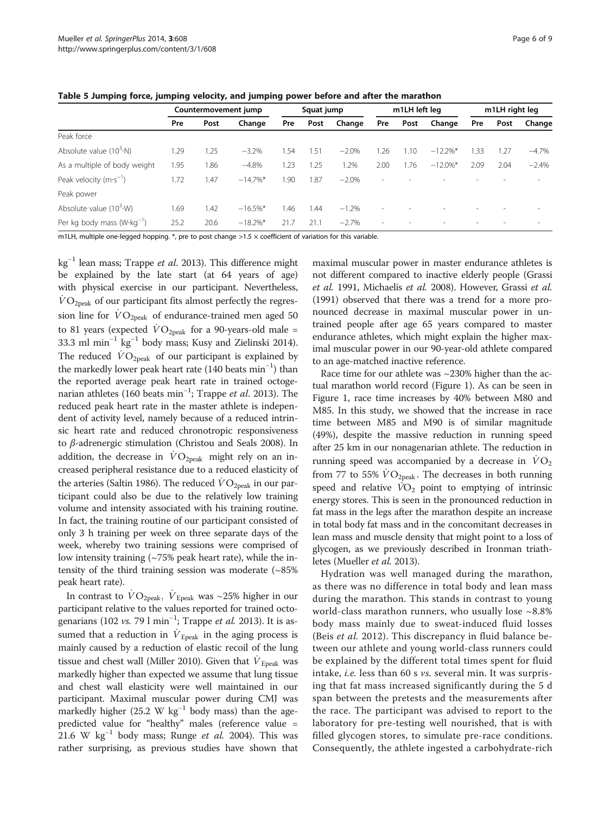|                                             | Countermovement jump |      | Squat jump  |      | m1LH left leg |         |        | m1LH right leg |             |      |                          |          |
|---------------------------------------------|----------------------|------|-------------|------|---------------|---------|--------|----------------|-------------|------|--------------------------|----------|
|                                             | Pre                  | Post | Change      | Pre  | Post          | Change  | Pre    | Post           | Change      | Pre  | Post                     | Change   |
| Peak force                                  |                      |      |             |      |               |         |        |                |             |      |                          |          |
| Absolute value $(10^3 \cdot N)$             | 1.29                 | .25  | $-3.2%$     | 1.54 | 1.51          | $-2.0%$ | .26    | .10            | $-12.2\%$ * | 1.33 | 1.27                     | $-4.7\%$ |
| As a multiple of body weight                | 1.95                 | .86  | $-4.8%$     | 1.23 | 1.25          | 1.2%    | 2.00   | .76            | $-12.0\%$ * | 2.09 | 2.04                     | $-2.4%$  |
| Peak velocity $(m \cdot s^{-1})$            | 1.72                 | .47  | $-14.7\%$ * | 1.90 | .87           | $-2.0%$ | $\sim$ |                |             |      |                          |          |
| Peak power                                  |                      |      |             |      |               |         |        |                |             |      |                          |          |
| Absolute value $(10^3 \cdot W)$             | 1.69                 | l.42 | $-16.5\%$ * | 1.46 | .44           | $-1.2%$ | $\sim$ |                |             |      |                          |          |
| Per kg body mass $(W \cdot \text{kg}^{-1})$ | 25.2                 | 20.6 | $-18.2\%$ * | 21.7 | 21.1          | $-2.7%$ | $\sim$ |                |             |      | $\overline{\phantom{a}}$ |          |

<span id="page-5-0"></span>Table 5 Jumping force, jumping velocity, and jumping power before and after the marathon

m1LH, multiple one-legged hopping.  $*$ , pre to post change >1.5  $\times$  coefficient of variation for this variable.

 $kg^{-1}$  lean mass; Trappe *et al.* [2013\)](#page-8-0). This difference might be explained by the late start (at 64 years of age) with physical exercise in our participant. Nevertheless,  $\dot{V}O_{2\text{peak}}$  of our participant fits almost perfectly the regression line for  $\dot{V}O_{2\text{peak}}$  of endurance-trained men aged 50 to 81 years (expected  $\dot{V}O_{2\text{peak}}$  for a 90-years-old male = 33.3 ml min−<sup>1</sup> kg−<sup>1</sup> body mass; Kusy and Zielinski [2014](#page-7-0)). The reduced  $\dot{V}O_{2\text{peak}}$  of our participant is explained by the markedly lower peak heart rate (140 beats min−<sup>1</sup> ) than the reported average peak heart rate in trained octogenarian athletes (160 beats min<sup>-1</sup>; Trappe *et al.* [2013](#page-8-0)). The reduced peak heart rate in the master athlete is independent reduced peak heart rate in the master athlete is independent of activity level, namely because of a reduced intrinsic heart rate and reduced chronotropic responsiveness to β-adrenergic stimulation (Christou and Seals [2008](#page-7-0)). In addition, the decrease in  $\dot{V}O_{2\text{peak}}$  might rely on an increased peripheral resistance due to a reduced elasticity of the arteries (Saltin [1986](#page-8-0)). The reduced  $\dot{V}O_{\text{2peak}}$  in our participant could also be due to the relatively low training volume and intensity associated with his training routine. In fact, the training routine of our participant consisted of only 3 h training per week on three separate days of the week, whereby two training sessions were comprised of low intensity training  $\left(\sim 75\%$  peak heart rate), while the intensity of the third training session was moderate  $(~85\%)$ peak heart rate).

In contrast to  $\dot{V}O_{2\text{peak}}$ ,  $\dot{V}_{\text{Epeak}}$  was ~25% higher in our participant relative to the values reported for trained octogenarians (102 *vs.* 79 l min<sup>-1</sup>; Trappe *et al.* [2013](#page-8-0)). It is as-<br>sumed that a reduction in V<sub>ille</sub> in the aging process is sumed that a reduction in  $\dot{V}_{\text{Epeak}}$  in the aging process is mainly caused by a reduction of elastic recoil of the lung tissue and chest wall (Miller [2010](#page-7-0)). Given that  $\dot{V}_{\rm Epeak}$  was markedly higher than expected we assume that lung tissue and chest wall elasticity were well maintained in our participant. Maximal muscular power during CMJ was markedly higher (25.2 W kg<sup>-1</sup> body mass) than the agepredicted value for "healthy" males (reference value = 21.6 W kg<sup>-1</sup> body mass; Runge *et al.* [2004\)](#page-8-0). This was rather surprising, as previous studies have shown that

maximal muscular power in master endurance athletes is not different compared to inactive elderly people (Grassi et al. [1991](#page-7-0), Michaelis et al. [2008](#page-7-0)). However, Grassi et al. ([1991](#page-7-0)) observed that there was a trend for a more pronounced decrease in maximal muscular power in untrained people after age 65 years compared to master endurance athletes, which might explain the higher maximal muscular power in our 90-year-old athlete compared to an age-matched inactive reference.

Race time for our athlete was  $\sim$ 230% higher than the actual marathon world record (Figure [1](#page-1-0)). As can be seen in Figure [1](#page-1-0), race time increases by 40% between M80 and M85. In this study, we showed that the increase in race time between M85 and M90 is of similar magnitude (49%), despite the massive reduction in running speed after 25 km in our nonagenarian athlete. The reduction in running speed was accompanied by a decrease in  $\dot{V}\text{O}_2$ from 77 to 55%  $\rm\dot{V}O_{2peak}$ . The decreases in both running speed and relative  $VO<sub>2</sub>$  point to emptying of intrinsic energy stores. This is seen in the pronounced reduction in fat mass in the legs after the marathon despite an increase in total body fat mass and in the concomitant decreases in lean mass and muscle density that might point to a loss of glycogen, as we previously described in Ironman triathletes (Mueller et al. [2013\)](#page-7-0).

Hydration was well managed during the marathon, as there was no difference in total body and lean mass during the marathon. This stands in contrast to young world-class marathon runners, who usually lose ~8.8% body mass mainly due to sweat-induced fluid losses (Beis *et al.* [2012](#page-7-0)). This discrepancy in fluid balance between our athlete and young world-class runners could be explained by the different total times spent for fluid intake, i.e. less than 60 s vs. several min. It was surprising that fat mass increased significantly during the 5 d span between the pretests and the measurements after the race. The participant was advised to report to the laboratory for pre-testing well nourished, that is with filled glycogen stores, to simulate pre-race conditions. Consequently, the athlete ingested a carbohydrate-rich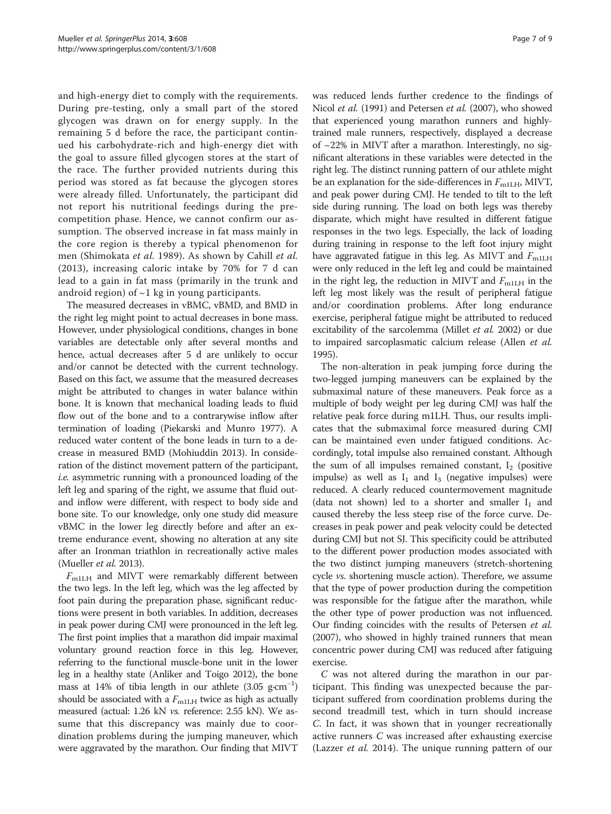and high-energy diet to comply with the requirements. During pre-testing, only a small part of the stored glycogen was drawn on for energy supply. In the remaining 5 d before the race, the participant continued his carbohydrate-rich and high-energy diet with the goal to assure filled glycogen stores at the start of the race. The further provided nutrients during this period was stored as fat because the glycogen stores were already filled. Unfortunately, the participant did not report his nutritional feedings during the precompetition phase. Hence, we cannot confirm our assumption. The observed increase in fat mass mainly in the core region is thereby a typical phenomenon for men (Shimokata et al. [1989\)](#page-8-0). As shown by Cahill et al. ([2013](#page-7-0)), increasing caloric intake by 70% for 7 d can lead to a gain in fat mass (primarily in the trunk and android region) of  $\sim$ 1 kg in young participants.

The measured decreases in vBMC, vBMD, and BMD in the right leg might point to actual decreases in bone mass. However, under physiological conditions, changes in bone variables are detectable only after several months and hence, actual decreases after 5 d are unlikely to occur and/or cannot be detected with the current technology. Based on this fact, we assume that the measured decreases might be attributed to changes in water balance within bone. It is known that mechanical loading leads to fluid flow out of the bone and to a contrarywise inflow after termination of loading (Piekarski and Munro [1977](#page-7-0)). A reduced water content of the bone leads in turn to a decrease in measured BMD (Mohiuddin [2013\)](#page-7-0). In consideration of the distinct movement pattern of the participant, i.e. asymmetric running with a pronounced loading of the left leg and sparing of the right, we assume that fluid outand inflow were different, with respect to body side and bone site. To our knowledge, only one study did measure vBMC in the lower leg directly before and after an extreme endurance event, showing no alteration at any site after an Ironman triathlon in recreationally active males (Mueller et al. [2013](#page-7-0)).

 $F<sub>m1LH</sub>$  and MIVT were remarkably different between the two legs. In the left leg, which was the leg affected by foot pain during the preparation phase, significant reductions were present in both variables. In addition, decreases in peak power during CMJ were pronounced in the left leg. The first point implies that a marathon did impair maximal voluntary ground reaction force in this leg. However, referring to the functional muscle-bone unit in the lower leg in a healthy state (Anliker and Toigo [2012\)](#page-7-0), the bone mass at 14% of tibia length in our athlete (3.05 g⋅cm<sup>-1</sup>) should be associated with a  $F_{\text{m1LH}}$  twice as high as actually measured (actual: 1.26 kN vs. reference: 2.55 kN). We assume that this discrepancy was mainly due to coordination problems during the jumping maneuver, which were aggravated by the marathon. Our finding that MIVT

was reduced lends further credence to the findings of Nicol et al. [\(1991\)](#page-7-0) and Petersen et al. [\(2007](#page-7-0)), who showed that experienced young marathon runners and highlytrained male runners, respectively, displayed a decrease of ~22% in MIVT after a marathon. Interestingly, no significant alterations in these variables were detected in the right leg. The distinct running pattern of our athlete might be an explanation for the side-differences in  $F_{\text{m1LH}}$ , MIVT, and peak power during CMJ. He tended to tilt to the left side during running. The load on both legs was thereby disparate, which might have resulted in different fatigue responses in the two legs. Especially, the lack of loading during training in response to the left foot injury might have aggravated fatigue in this leg. As MIVT and  $F_{\text{m1LH}}$ were only reduced in the left leg and could be maintained in the right leg, the reduction in MIVT and  $F_{\text{m1LH}}$  in the left leg most likely was the result of peripheral fatigue and/or coordination problems. After long endurance exercise, peripheral fatigue might be attributed to reduced excitability of the sarcolemma (Millet et al. [2002\)](#page-7-0) or due to impaired sarcoplasmatic calcium release (Allen et al. [1995](#page-7-0)).

The non-alteration in peak jumping force during the two-legged jumping maneuvers can be explained by the submaximal nature of these maneuvers. Peak force as a multiple of body weight per leg during CMJ was half the relative peak force during m1LH. Thus, our results implicates that the submaximal force measured during CMJ can be maintained even under fatigued conditions. Accordingly, total impulse also remained constant. Although the sum of all impulses remained constant,  $I_2$  (positive impulse) as well as  $I_1$  and  $I_3$  (negative impulses) were reduced. A clearly reduced countermovement magnitude (data not shown) led to a shorter and smaller  $I_1$  and caused thereby the less steep rise of the force curve. Decreases in peak power and peak velocity could be detected during CMJ but not SJ. This specificity could be attributed to the different power production modes associated with the two distinct jumping maneuvers (stretch-shortening cycle vs. shortening muscle action). Therefore, we assume that the type of power production during the competition was responsible for the fatigue after the marathon, while the other type of power production was not influenced. Our finding coincides with the results of Petersen *et al.* ([2007](#page-7-0)), who showed in highly trained runners that mean concentric power during CMJ was reduced after fatiguing exercise.

C was not altered during the marathon in our participant. This finding was unexpected because the participant suffered from coordination problems during the second treadmill test, which in turn should increase C. In fact, it was shown that in younger recreationally active runners C was increased after exhausting exercise (Lazzer et al. [2014\)](#page-7-0). The unique running pattern of our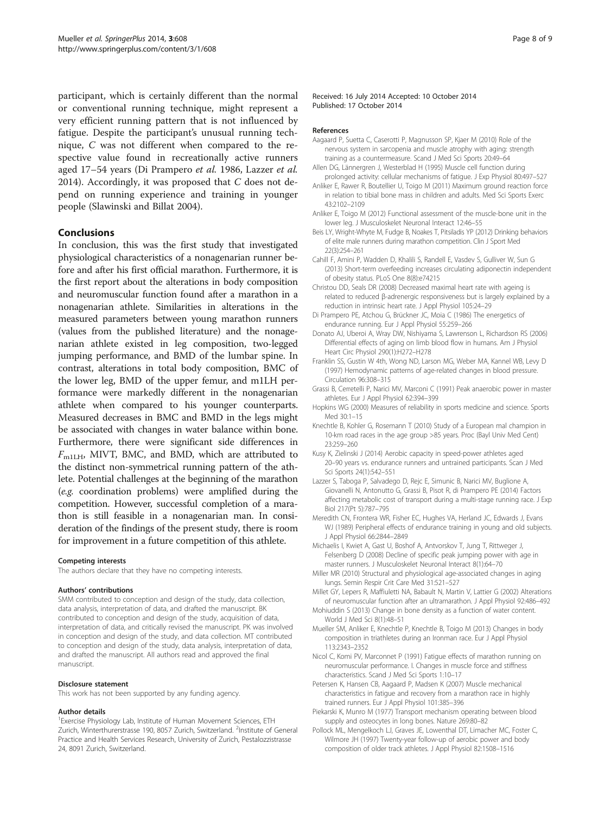<span id="page-7-0"></span>participant, which is certainly different than the normal or conventional running technique, might represent a very efficient running pattern that is not influenced by fatigue. Despite the participant's unusual running technique, C was not different when compared to the respective value found in recreationally active runners aged 17–54 years (Di Prampero et al. 1986, Lazzer et al. 2014). Accordingly, it was proposed that C does not depend on running experience and training in younger people (Slawinski and Billat [2004](#page-8-0)).

# **Conclusions**

In conclusion, this was the first study that investigated physiological characteristics of a nonagenarian runner before and after his first official marathon. Furthermore, it is the first report about the alterations in body composition and neuromuscular function found after a marathon in a nonagenarian athlete. Similarities in alterations in the measured parameters between young marathon runners (values from the published literature) and the nonagenarian athlete existed in leg composition, two-legged jumping performance, and BMD of the lumbar spine. In contrast, alterations in total body composition, BMC of the lower leg, BMD of the upper femur, and m1LH performance were markedly different in the nonagenarian athlete when compared to his younger counterparts. Measured decreases in BMC and BMD in the legs might be associated with changes in water balance within bone. Furthermore, there were significant side differences in  $F<sub>m1LH</sub>$ , MIVT, BMC, and BMD, which are attributed to the distinct non-symmetrical running pattern of the athlete. Potential challenges at the beginning of the marathon (e.g. coordination problems) were amplified during the competition. However, successful completion of a marathon is still feasible in a nonagenarian man. In consideration of the findings of the present study, there is room for improvement in a future competition of this athlete.

#### Competing interests

The authors declare that they have no competing interests.

#### Authors' contributions

SMM contributed to conception and design of the study, data collection, data analysis, interpretation of data, and drafted the manuscript. BK contributed to conception and design of the study, acquisition of data, interpretation of data, and critically revised the manuscript. PK was involved in conception and design of the study, and data collection. MT contributed to conception and design of the study, data analysis, interpretation of data, and drafted the manuscript. All authors read and approved the final manuscript.

#### Disclosure statement

This work has not been supported by any funding agency.

#### Author details

<sup>1</sup> Exercise Physiology Lab, Institute of Human Movement Sciences, ETH Zurich, Winterthurerstrasse 190, 8057 Zurich, Switzerland. <sup>2</sup>Institute of General Practice and Health Services Research, University of Zurich, Pestalozzistrasse 24, 8091 Zurich, Switzerland.

Received: 16 July 2014 Accepted: 10 October 2014 Published: 17 October 2014

#### References

- Aagaard P, Suetta C, Caserotti P, Magnusson SP, Kjaer M (2010) Role of the nervous system in sarcopenia and muscle atrophy with aging: strength training as a countermeasure. Scand J Med Sci Sports 20:49–64
- Allen DG, Lännergren J, Westerblad H (1995) Muscle cell function during prolonged activity: cellular mechanisms of fatigue. J Exp Physiol 80:497–527
- Anliker E, Rawer R, Boutellier U, Toigo M (2011) Maximum ground reaction force in relation to tibial bone mass in children and adults. Med Sci Sports Exerc 43:2102–2109
- Anliker E, Toigo M (2012) Functional assessment of the muscle-bone unit in the lower leg. J Musculoskelet Neuronal Interact 12:46–55
- Beis LY, Wright-Whyte M, Fudge B, Noakes T, Pitsiladis YP (2012) Drinking behaviors of elite male runners during marathon competition. Clin J Sport Med 22(3):254–261
- Cahill F, Amini P, Wadden D, Khalili S, Randell E, Vasdev S, Gulliver W, Sun G (2013) Short-term overfeeding increases circulating adiponectin independent of obesity status. PLoS One 8(8):e74215
- Christou DD, Seals DR (2008) Decreased maximal heart rate with ageing is related to reduced β-adrenergic responsiveness but is largely explained by a reduction in intrinsic heart rate. J Appl Physiol 105:24–29
- Di Prampero PE, Atchou G, Brückner JC, Moia C (1986) The energetics of endurance running. Eur J Appl Physiol 55:259–266
- Donato AJ, Uberoi A, Wray DW, Nishiyama S, Lawrenson L, Richardson RS (2006) Differential effects of aging on limb blood flow in humans. Am J Physiol Heart Circ Physiol 290(1):H272–H278
- Franklin SS, Gustin W 4th, Wong ND, Larson MG, Weber MA, Kannel WB, Levy D (1997) Hemodynamic patterns of age-related changes in blood pressure. Circulation 96:308–315
- Grassi B, Cerretelli P, Narici MV, Marconi C (1991) Peak anaerobic power in master athletes. Eur J Appl Physiol 62:394–399
- Hopkins WG (2000) Measures of reliability in sports medicine and science. Sports Med 30:1–15
- Knechtle B, Kohler G, Rosemann T (2010) Study of a European mal champion in 10-km road races in the age group >85 years. Proc (Bayl Univ Med Cent) 23:259–260
- Kusy K, Zielinski J (2014) Aerobic capacity in speed-power athletes aged 20–90 years vs. endurance runners and untrained participants. Scan J Med Sci Sports 24(1):542–551
- Lazzer S, Taboga P, Salvadego D, Rejc E, Simunic B, Narici MV, Buglione A, Giovanelli N, Antonutto G, Grassi B, Pisot R, di Prampero PE (2014) Factors affecting metabolic cost of transport during a multi-stage running race. J Exp Biol 217(Pt 5):787–795
- Meredith CN, Frontera WR, Fisher EC, Hughes VA, Herland JC, Edwards J, Evans WJ (1989) Peripheral effects of endurance training in young and old subjects. J Appl Physiol 66:2844–2849
- Michaelis I, Kwiet A, Gast U, Boshof A, Antvorskov T, Jung T, Rittweger J, Felsenberg D (2008) Decline of specific peak jumping power with age in master runners. J Musculoskelet Neuronal Interact 8(1):64–70
- Miller MR (2010) Structural and physiological age-associated changes in aging lungs. Semin Respir Crit Care Med 31:521–527
- Millet GY, Lepers R, Maffiuletti NA, Babault N, Martin V, Lattier G (2002) Alterations of neuromuscular function after an ultramarathon. J Appl Physiol 92:486–492
- Mohiuddin S (2013) Change in bone density as a function of water content. World J Med Sci 8(1):48–51
- Mueller SM, Anliker E, Knechtle P, Knechtle B, Toigo M (2013) Changes in body composition in triathletes during an Ironman race. Eur J Appl Physiol 113:2343–2352
- Nicol C, Komi PV, Marconnet P (1991) Fatigue effects of marathon running on neuromuscular performance. I. Changes in muscle force and stiffness characteristics. Scand J Med Sci Sports 1:10–17
- Petersen K, Hansen CB, Aagaard P, Madsen K (2007) Muscle mechanical characteristics in fatigue and recovery from a marathon race in highly trained runners. Eur J Appl Physiol 101:385–396
- Piekarski K, Munro M (1977) Transport mechanism operating between blood supply and osteocytes in long bones. Nature 269:80–82
- Pollock ML, Mengelkoch LJ, Graves JE, Lowenthal DT, Limacher MC, Foster C, Wilmore JH (1997) Twenty-year follow-up of aerobic power and body composition of older track athletes. J Appl Physiol 82:1508–1516